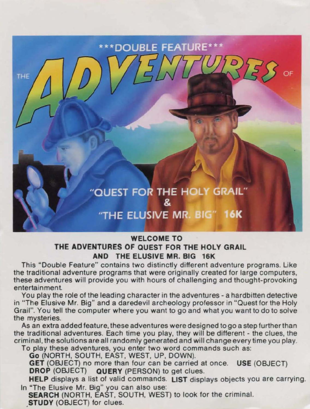## **DOUBLE FEATURE\*** THE "QUEST FOR THE HOLY GRAIL" "THE FLUSIVE MR. BIG" 16K

## **WELCOME TO THE ADVENTURES OF QUEST FOR THE HOLY GRAIL AND THE ELUSIVE MR. BIG 16K**

This "Double Feature" contains two distinctly different adventure programs. Like the traditional adventure programs that were originally created for large computers, these adventures will provide you with hours of challenging and thought-provoking entertainment

You play the role of the leading character in the adventures - a hardbitten detective in "The Elusive Mr. Big" and a daredevil archeology professor in "Quest for the Holy Grail". You tell the computer where you want to go and what you want to do to solve the mysteries.

As an extra added feature, these adventures were designed to go a step further than the traditional adventures. Each time you play, they will be different - the clues, the criminal, the solutions are all randomly generated and will change every time you play.

To play these adventures, you enter two word commands such as:

Go (NORTH, SOUTH, EAST, WEST, UP, DOWN).

**GET** (OBJECT) no more than four can be carried at once. **USE** (OBJECT) **DROP** (OBJECT) **QUERY** (PERSON) to get clues.

**HELP** displays a list of valid commands. **LIST** displays objects you are carrying. In "The Elusive Mr. Big" you can also use:

**SEARCH** (NORTH, EAST, SOUTH, WEST) to look for the criminal. **,STUDY** (OBJECT) for clues.